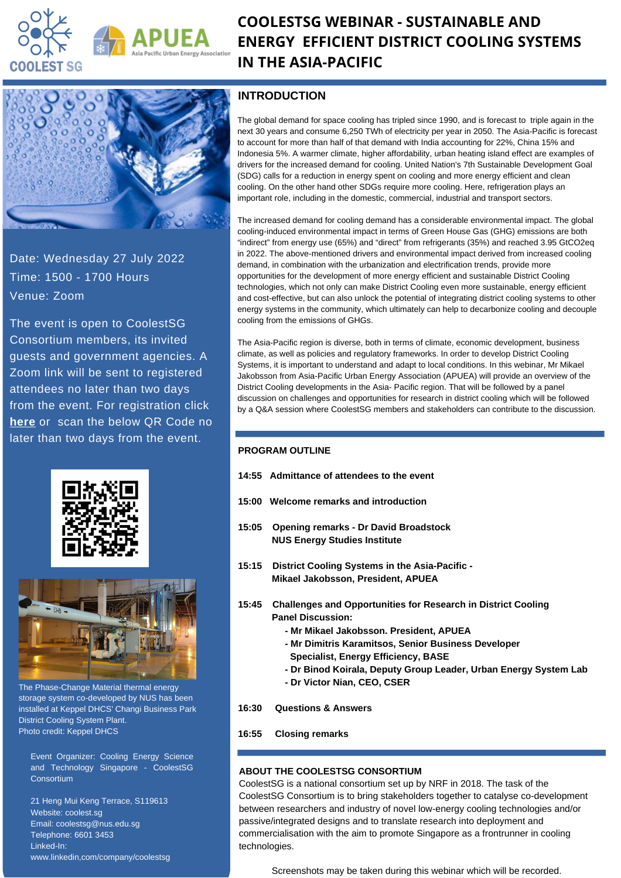

# **COOLESTSG WEBINAR - SUSTAINABLE AND ENERGY EFFICIENT DISTRICT COOLING SYSTEMS IN THE ASIA-PACIFIC**



Date: Wednesday 27 July 2022 Time: 1500 - 1700 Hours Venue: Zoom

The event is open to CoolestSG Consortium members, its invited guests and government agencies. A Zoom link will be sent to registered attendees no later than two days from the event. For registration click **[here](https://forms.gle/XnLjUArRX2TCG7Rp6)** or scan the below QR Code no later than two days from the event.





The Phase-Change Material thermal energy storage system co-developed by NUS has been installed at Keppel DHCS' Changi Business Park District Cooling System Plant. Photo credit: Keppel DHCS

Event Organizer: Cooling Energy Science and Technology Singapore - CoolestSG **Consortium** 

21 Heng Mui Keng Terrace, S119613 Website: coolest.sg Email: coolestsg@nus.edu.sg Telephone: 6601 3453 Linked-In: www.linkedin,com/company/coolestsg

### **INTRODUCTION**

The global demand for space cooling has tripled since 1990, and is forecast to triple again in the next 30 years and consume 6,250 TWh of electricity per year in 2050. The Asia-Pacific is forecast to account for more than half of that demand with India accounting for 22%, China 15% and Indonesia 5%. A warmer climate, higher affordability, urban heating island effect are examples of drivers for the increased demand for cooling. United Nation's 7th Sustainable Development Goal (SDG) calls for a reduction in energy spent on cooling and more energy efficient and clean cooling. On the other hand other SDGs require more cooling. Here, refrigeration plays an important role, including in the domestic, commercial, industrial and transport sectors.

The increased demand for cooling demand has a considerable environmental impact. The global cooling-induced environmental impact in terms of Green House Gas (GHG) emissions are both "indirect" from energy use (65%) and "direct" from refrigerants (35%) and reached 3.95 GtCO2eq in 2022. The above-mentioned drivers and environmental impact derived from increased cooling demand, in combination with the urbanization and electrification trends, provide more opportunities for the development of more energy efficient and sustainable District Cooling technologies, which not only can make District Cooling even more sustainable, energy efficient and cost-effective, but can also unlock the potential of integrating district cooling systems to other energy systems in the community, which ultimately can help to decarbonize cooling and decouple cooling from the emissions of GHGs.

The Asia-Pacific region is diverse, both in terms of climate, economic development, business climate, as well as policies and regulatory frameworks. In order to develop District Cooling Systems, it is important to understand and adapt to local conditions. In this webinar, Mr Mikael Jakobsson from Asia-Pacific Urban Energy Association (APUEA) will provide an overview of the District Cooling developments in the Asia- Pacific region. That will be followed by a panel discussion on challenges and opportunities for research in district cooling which will be followed by a Q&A session where CoolestSG members and stakeholders can contribute to the discussion.

#### **PROGRAM OUTLINE**

- **14:55 Admittance of attendees to the event**
- **15:00 Welcome remarks and introduction**
- **15:05 Opening remarks - Dr David Broadstock NUS Energy Studies Institute**
- **15:15 District Cooling Systems in the Asia-Pacific - Mikael Jakobsson, President, APUEA**
- **15:45 Challenges and Opportunities for Research in District Cooling Panel Discussion:**
	- **- Mr Mikael Jakobsson. President, APUEA**
	- **- Mr Dimitris Karamitsos, Senior Business Developer**
	- **Specialist, Energy Efficiency, BASE**
	- **- Dr Binod Koirala, Deputy Group Leader, Urban Energy System Lab**
	- **- Dr Victor Nian, CEO, CSER**
- **16:30 Questions & Answers**
- **16:55 Closing remarks**

#### **ABOUT THE COOLESTSG CONSORTIUM**

CoolestSG is a national consortium set up by NRF in 2018. The task of the CoolestSG Consortium is to bring stakeholders together to catalyse co-development between researchers and industry of novel low-energy cooling technologies and/or passive/integrated designs and to translate research into deployment and commercialisation with the aim to promote Singapore as a frontrunner in cooling technologies.

Screenshots may be taken during this webinar which will be recorded.